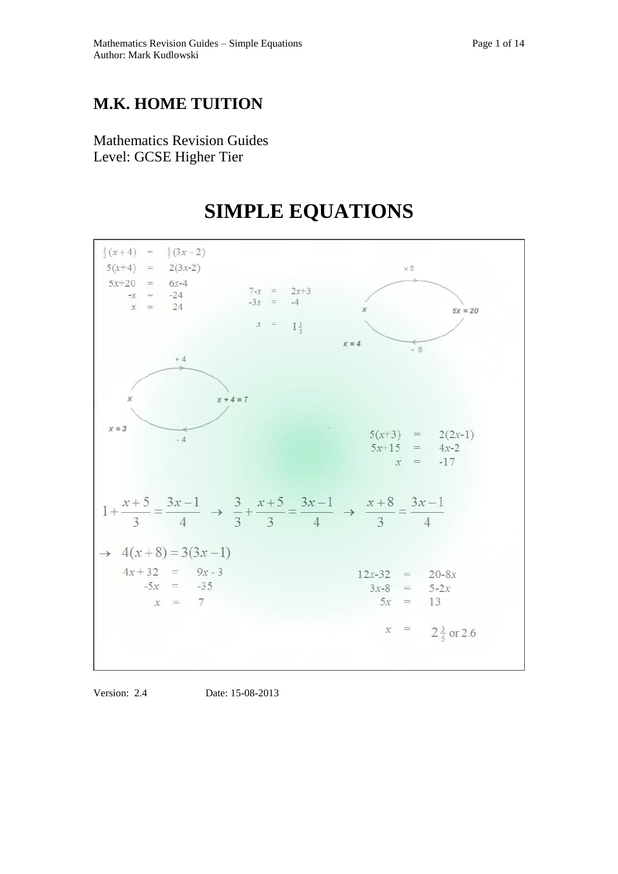## **M.K. HOME TUITION**

Mathematics Revision Guides Level: GCSE Higher Tier

# **SIMPLE EQUATIONS**



Version: 2.4 Date: 15-08-2013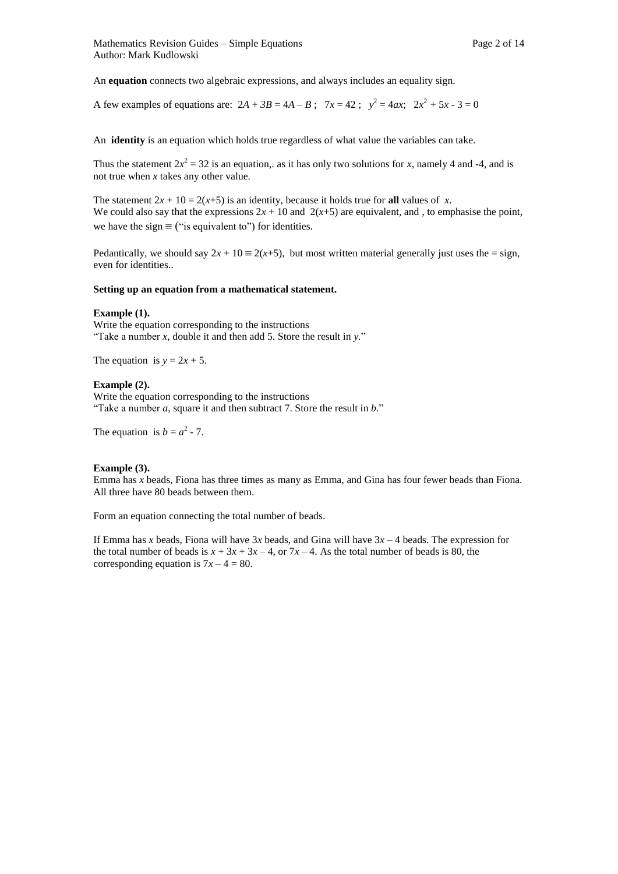An **equation** connects two algebraic expressions, and always includes an equality sign.

A few examples of equations are:  $2A + 3B = 4A - B$ ;  $7x = 42$ ;  $y^2 = 4ax$ ;  $2x^2 + 5x - 3 = 0$ 

An **identity** is an equation which holds true regardless of what value the variables can take.

Thus the statement  $2x^2 = 32$  is an equation,. as it has only two solutions for *x*, namely 4 and -4, and is not true when *x* takes any other value.

The statement  $2x + 10 = 2(x+5)$  is an identity, because it holds true for **all** values of *x*. We could also say that the expressions  $2x + 10$  and  $2(x+5)$  are equivalent, and, to emphasise the point, we have the sign  $\equiv$  ("is equivalent to") for identities.

Pedantically, we should say  $2x + 10 \equiv 2(x+5)$ , but most written material generally just uses the = sign, even for identities..

#### **Setting up an equation from a mathematical statement.**

#### **Example (1).**

Write the equation corresponding to the instructions "Take a number *x*, double it and then add 5. Store the result in *y.*"

The equation is  $y = 2x + 5$ .

#### **Example (2).**

Write the equation corresponding to the instructions "Take a number *a*, square it and then subtract 7. Store the result in *b.*"

The equation is  $b = a^2 - 7$ .

#### **Example (3).**

Emma has *x* beads, Fiona has three times as many as Emma, and Gina has four fewer beads than Fiona. All three have 80 beads between them.

Form an equation connecting the total number of beads.

If Emma has *x* beads, Fiona will have 3*x* beads, and Gina will have 3*x –* 4 beads. The expression for the total number of beads is  $x + 3x + 3x - 4$ , or  $7x - 4$ . As the total number of beads is 80, the corresponding equation is  $7x - 4 = 80$ .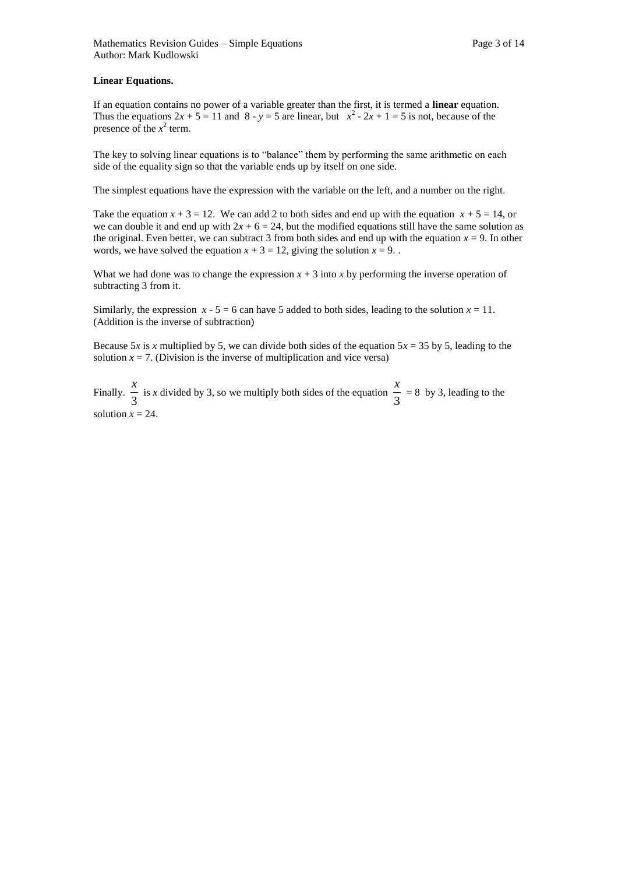#### **Linear Equations.**

If an equation contains no power of a variable greater than the first, it is termed a **linear** equation. Thus the equations  $2x + 5 = 11$  and  $8 - y = 5$  are linear, but  $x^2 - 2x + 1 = 5$  is not, because of the presence of the  $x^2$  term.

The key to solving linear equations is to "balance" them by performing the same arithmetic on each side of the equality sign so that the variable ends up by itself on one side.

The simplest equations have the expression with the variable on the left, and a number on the right.

Take the equation  $x + 3 = 12$ . We can add 2 to both sides and end up with the equation  $x + 5 = 14$ , or we can double it and end up with  $2x + 6 = 24$ , but the modified equations still have the same solution as the original. Even better, we can subtract 3 from both sides and end up with the equation  $x = 9$ . In other words, we have solved the equation  $x + 3 = 12$ , giving the solution  $x = 9$ .

What we had done was to change the expression  $x + 3$  into  $x$  by performing the inverse operation of subtracting 3 from it.

Similarly, the expression  $x - 5 = 6$  can have 5 added to both sides, leading to the solution  $x = 11$ . (Addition is the inverse of subtraction)

Because 5*x* is *x* multiplied by 5, we can divide both sides of the equation  $5x = 35$  by 5, leading to the solution  $x = 7$ . (Division is the inverse of multiplication and vice versa)

Finally.  $\frac{1}{3}$  $\frac{x}{3}$  is *x* divided by 3, so we multiply both sides of the equation  $\frac{x}{3}$  $\frac{x}{2}$  = 8 by 3, leading to the solution  $x = 24$ .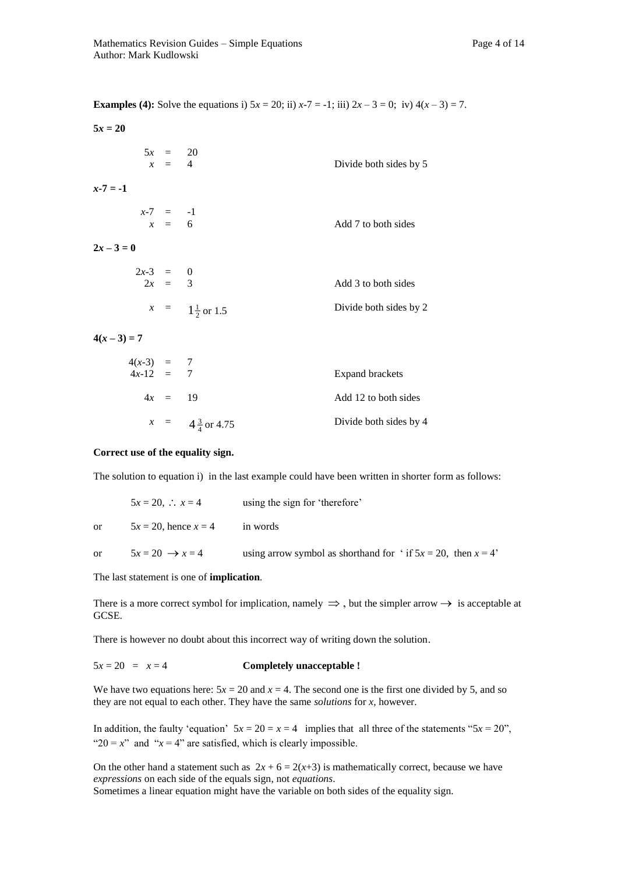**Examples (4):** Solve the equations i)  $5x = 20$ ; ii)  $x - 7 = -1$ ; iii)  $2x - 3 = 0$ ; iv)  $4(x - 3) = 7$ .

| $5x = 20$              |                                                           |                           |                        |
|------------------------|-----------------------------------------------------------|---------------------------|------------------------|
|                        | $\begin{array}{rcl} 5x & = & 20 \\ x & = & 4 \end{array}$ |                           | Divide both sides by 5 |
| $x - 7 = -1$           |                                                           |                           |                        |
|                        | $x-7 = -1$<br>$x = 6$                                     |                           | Add 7 to both sides    |
| $2x-3=0$               |                                                           |                           |                        |
| $2x-3 = 0$<br>$2x = 3$ |                                                           |                           | Add 3 to both sides    |
|                        |                                                           | $x = 1\frac{1}{2}$ or 1.5 | Divide both sides by 2 |
| $A(x, 2) = 7$          |                                                           |                           |                        |

 $4(x-3) = 7$ 

| $4(x-3) = 7$<br>$4x-12 = 7$ |           |                            | Expand brackets        |
|-----------------------------|-----------|----------------------------|------------------------|
|                             | $4x = 19$ |                            | Add 12 to both sides   |
|                             |           | $x = 4\frac{3}{4}$ or 4.75 | Divide both sides by 4 |

#### **Correct use of the equality sign.**

The solution to equation i) in the last example could have been written in shorter form as follows:

|               | $5x = 20, \therefore x = 4$ | using the sign for 'therefore'                                      |
|---------------|-----------------------------|---------------------------------------------------------------------|
| or.           | $5x = 20$ , hence $x = 4$   | in words                                                            |
| <sub>or</sub> | $5x = 20 \rightarrow x = 4$ | using arrow symbol as shorthand for ' if $5x = 20$ , then $x = 4$ ' |

#### The last statement is one of **implication***.*

There is a more correct symbol for implication, namely  $\Rightarrow$ , but the simpler arrow  $\rightarrow$  is acceptable at GCSE.

There is however no doubt about this incorrect way of writing down the solution.

#### $5x = 20 = x = 4$  **Completely unacceptable !**

We have two equations here:  $5x = 20$  and  $x = 4$ . The second one is the first one divided by 5, and so they are not equal to each other. They have the same *solutions* for *x,* however.

In addition, the faulty 'equation'  $5x = 20 = x = 4$  implies that all three of the statements " $5x = 20$ ", " $20 = x$ " and " $x = 4$ " are satisfied, which is clearly impossible.

On the other hand a statement such as  $2x + 6 = 2(x+3)$  is mathematically correct, because we have *expressions* on each side of the equals sign, not *equations*. Sometimes a linear equation might have the variable on both sides of the equality sign.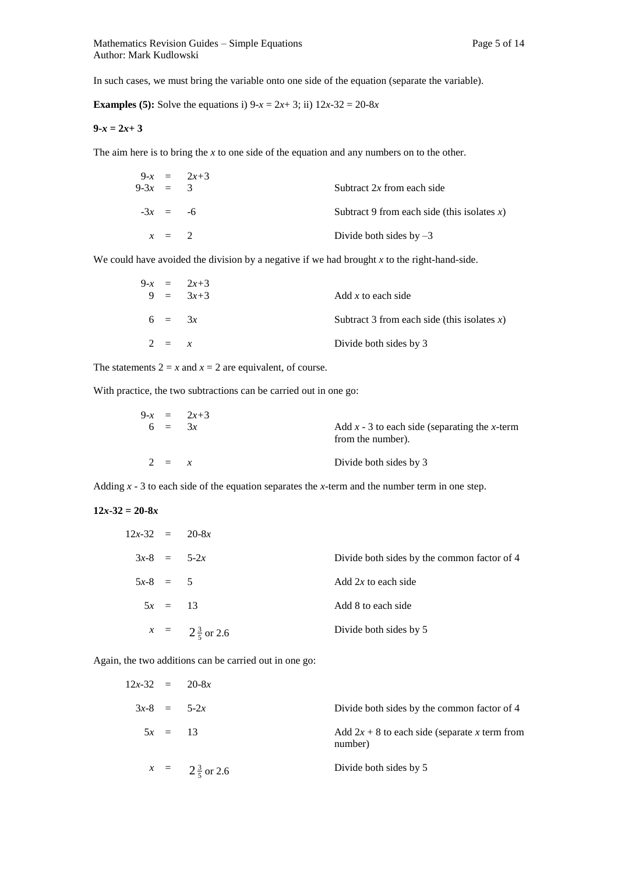In such cases, we must bring the variable onto one side of the equation (separate the variable).

**Examples (5):** Solve the equations i)  $9-x = 2x+3$ ; ii)  $12x-32 = 20-8x$ 

#### $9-x = 2x+3$

The aim here is to bring the *x* to one side of the equation and any numbers on to the other.

| $9-3x = 3$ |         | $9-x = 2x+3$ | Subtract $2x$ from each side                |
|------------|---------|--------------|---------------------------------------------|
| $-3x = -6$ |         |              | Subtract 9 from each side (this isolates x) |
|            | $x = 2$ |              | Divide both sides by $-3$                   |

We could have avoided the division by a negative if we had brought *x* to the right-hand-side.

|          | $9-x = 2x+3$ |                                             |
|----------|--------------|---------------------------------------------|
|          | $9 = 3x+3$   | Add x to each side                          |
| $6 = 3x$ |              | Subtract 3 from each side (this isolates x) |
| $2 = x$  |              | Divide both sides by 3                      |

The statements  $2 = x$  and  $x = 2$  are equivalent, of course.

With practice, the two subtractions can be carried out in one go:

|          | $9-x = 2x+3$ |                                                                      |
|----------|--------------|----------------------------------------------------------------------|
| $6 = 3x$ |              | Add $x - 3$ to each side (separating the x-term<br>from the number). |
| $2 = x$  |              | Divide both sides by 3                                               |

Adding *x* - 3 to each side of the equation separates the *x*-term and the number term in one step.

### $12x - 32 = 20 - 8x$

| $12x-32 = 20-8x$ |           |                           |                                             |
|------------------|-----------|---------------------------|---------------------------------------------|
|                  |           | $3x-8 = 5-2x$             | Divide both sides by the common factor of 4 |
| $5x-8 = 5$       |           |                           | Add $2x$ to each side                       |
|                  | $5x = 13$ |                           | Add 8 to each side                          |
|                  |           | $x = 2\frac{3}{5}$ or 2.6 | Divide both sides by 5                      |
|                  |           |                           |                                             |

Again, the two additions can be carried out in one go:

| $12x-32 = 20-8x$ |           |                           |                                                            |
|------------------|-----------|---------------------------|------------------------------------------------------------|
| $3x-8 = 5-2x$    |           |                           | Divide both sides by the common factor of 4                |
|                  | $5x = 13$ |                           | Add $2x + 8$ to each side (separate x term from<br>number) |
|                  |           | $x = 2\frac{3}{5}$ or 2.6 | Divide both sides by 5                                     |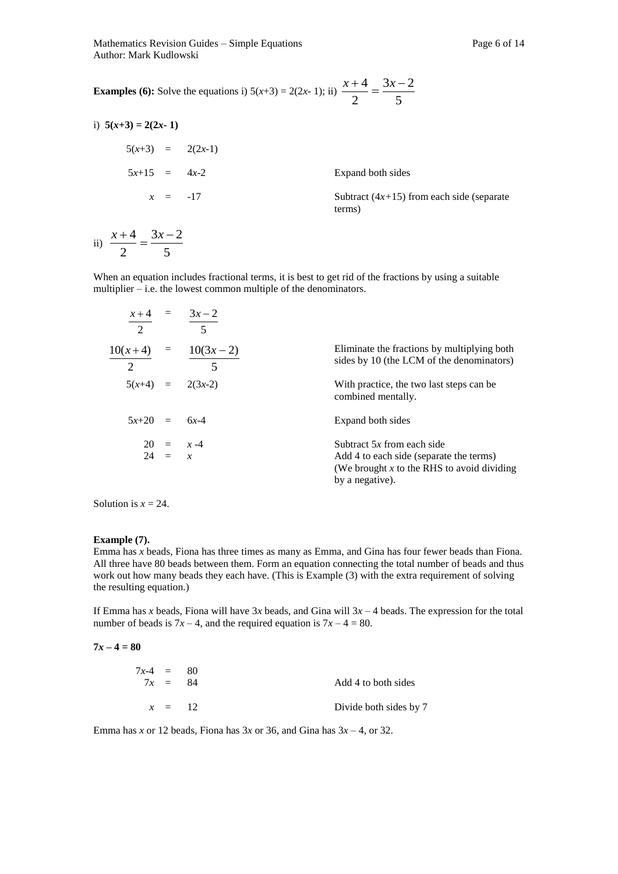Mathematics Revision Guides – Simple Equations **Page 6** of 14 Author: Mark Kudlowski

**Examples (6):** Solve the equations i)  $5(x+3) = 2(2x-1)$ ; ii)  $\frac{x+3}{2} = \frac{3x-3}{5}$  $3x - 2$ 2  $\frac{x+4}{2} = \frac{3x-4}{2}$ 

| i) $5(x+3) = 2(2x-1)$ |                                                       |
|-----------------------|-------------------------------------------------------|
| $5(x+3) = 2(2x-1)$    |                                                       |
| $5x+15 = 4x-2$        | Expand both sides                                     |
| $x = -17$             | Subtract $(4x+15)$ from each side (separate<br>terms) |

ii)  $\frac{1}{2} = \frac{1}{5}$  $3x - 2$ 2  $\frac{x+4}{2} = \frac{3x-4}{2}$ 

When an equation includes fractional terms, it is best to get rid of the fractions by using a suitable multiplier – i.e. the lowest common multiple of the denominators.

| $\mathcal{D}_{\mathcal{L}}$ | $x+4 = 3x-2$<br>$\overline{5}$                    |                                                                                                                                          |
|-----------------------------|---------------------------------------------------|------------------------------------------------------------------------------------------------------------------------------------------|
| $\mathcal{D}_{\mathcal{L}}$ | $10(x+4) = 10(3x-2)$<br>$\overline{\phantom{a}}5$ | Eliminate the fractions by multiplying both<br>sides by 10 (the LCM of the denominators)                                                 |
|                             | $5(x+4) = 2(3x-2)$                                | With practice, the two last steps can be<br>combined mentally.                                                                           |
| $5x+20 = 6x-4$              |                                                   | Expand both sides                                                                                                                        |
|                             | $20 = x-4$<br>$24 = x$                            | Subtract $5x$ from each side<br>Add 4 to each side (separate the terms)<br>(We brought x to the RHS to avoid dividing<br>by a negative). |

Solution is  $x = 24$ .

#### **Example (7).**

Emma has *x* beads, Fiona has three times as many as Emma, and Gina has four fewer beads than Fiona. All three have 80 beads between them. Form an equation connecting the total number of beads and thus work out how many beads they each have. (This is Example (3) with the extra requirement of solving the resulting equation.)

If Emma has *x* beads, Fiona will have 3*x* beads, and Gina will 3*x –* 4 beads. The expression for the total number of beads is  $7x - 4$ , and the required equation is  $7x - 4 = 80$ .

$$
7x-4=80
$$

| $7x-4 = 80$<br>$7x = 84$ |          | Add 4 to both sides    |
|--------------------------|----------|------------------------|
|                          | $x = 12$ | Divide both sides by 7 |

Emma has *x* or 12 beads, Fiona has  $3x$  or 36, and Gina has  $3x - 4$ , or 32.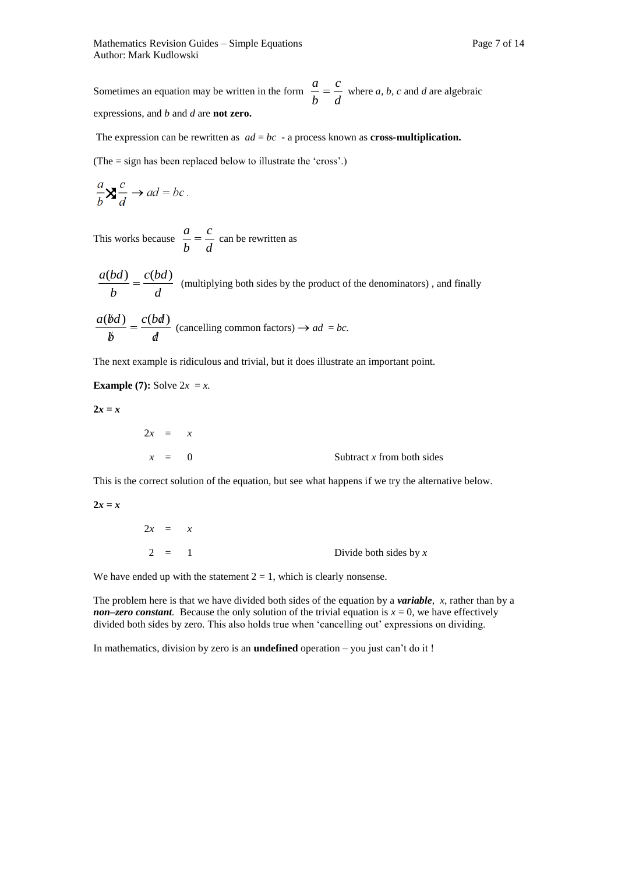Sometimes an equation may be written in the form  $\frac{a}{b} = \frac{a}{d}$ *c b*  $\frac{a}{b} = \frac{c}{a}$  where *a*, *b*, *c* and *d* are algebraic expressions, and *b* and *d* are **not zero.** 

The expression can be rewritten as  $ad = bc - a$  process known as **cross-multiplication.** 

(The = sign has been replaced below to illustrate the 'cross'.)

$$
\frac{a}{b} \mathbf{X} \frac{c}{d} \to ad = bc \, .
$$

This works because  $\frac{a}{b} = \frac{b}{d}$ *c b*  $\frac{a}{b} = \frac{c}{c}$  can be rewritten as

$$
\frac{a(bd)}{b} = \frac{c(bd)}{d}
$$
 (multiplying both sides by the product of the denominators), and finally

$$
\frac{a(bd)}{b} = \frac{c(bd)}{d}
$$
 (cancelling common factors)  $\rightarrow ad = bc$ .

The next example is ridiculous and trivial, but it does illustrate an important point.

**Example (7):** Solve  $2x = x$ .

 $2x = x$ 

| $2x = x$ |                              |
|----------|------------------------------|
| $x = 0$  | Subtract $x$ from both sides |

This is the correct solution of the equation, but see what happens if we try the alternative below.

 $2x = x$ 

| $2x = x$ |                          |
|----------|--------------------------|
| $2 = 1$  | Divide both sides by $x$ |

We have ended up with the statement  $2 = 1$ , which is clearly nonsense.

The problem here is that we have divided both sides of the equation by a *variable*, *x*, rather than by a *non–zero constant*. Because the only solution of the trivial equation is  $x = 0$ , we have effectively divided both sides by zero. This also holds true when 'cancelling out' expressions on dividing.

In mathematics, division by zero is an **undefined** operation – you just can't do it !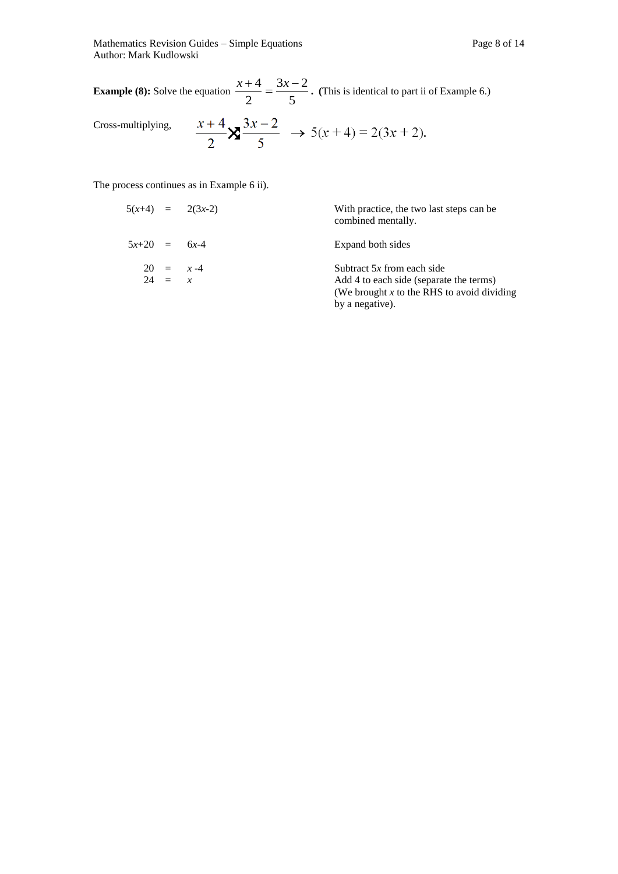Mathematics Revision Guides – Simple Equations Page 8 of 14 Author: Mark Kudlowski

**Example (8):** Solve the equation  $\frac{1}{2} = \frac{3}{5}$  $3x - 2$ 2  $\frac{x+4}{2} = \frac{3x-2}{3}$ . (This is identical to part ii of Example 6.)

Cross-multiplying,

$$
\frac{x+4}{2} \mathbf{X} \frac{3x-2}{5} \rightarrow 5(x+4) = 2(3x+2).
$$

The process continues as in Example 6 ii).

|                |          | $5(x+4) = 2(3x-2)$ | With practice, the two last steps can be<br>combined mentally.                                                                             |
|----------------|----------|--------------------|--------------------------------------------------------------------------------------------------------------------------------------------|
| $5x+20 = 6x-4$ |          |                    | Expand both sides                                                                                                                          |
|                | $24 = x$ | $20 = x - 4$       | Subtract $5x$ from each side<br>Add 4 to each side (separate the terms)<br>(We brought $x$ to the RHS to avoid dividing<br>by a negative). |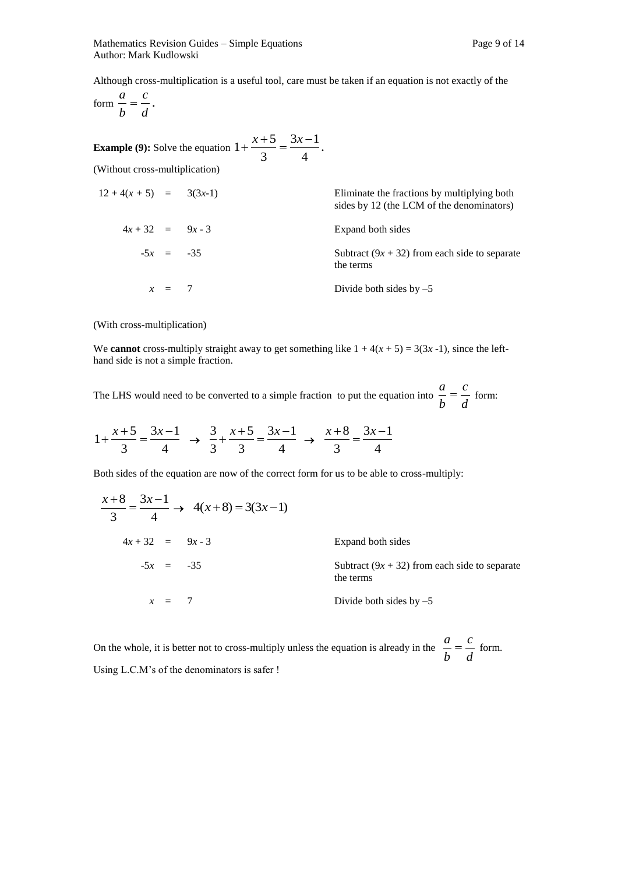Although cross-multiplication is a useful tool, care must be taken if an equation is not exactly of the

form 
$$
\frac{a}{b} = \frac{c}{d}
$$
.

**Example (9):** Solve the equation  $1 + \frac{24}{3} = \frac{34}{4}$  $3x - 1$ 3  $1 + \frac{x+5}{2} = \frac{3x-1}{4}$ .

(Without cross-multiplication)

| $12+4(x+5) = 3(3x-1)$ |             | Eliminate the fractions by multiplying both<br>sides by 12 (the LCM of the denominators) |
|-----------------------|-------------|------------------------------------------------------------------------------------------|
| $4x + 32 = 9x - 3$    |             | Expand both sides                                                                        |
|                       | $-5x = -35$ | Subtract $(9x + 32)$ from each side to separate<br>the terms                             |
|                       | $x = 7$     | Divide both sides by $-5$                                                                |

(With cross-multiplication)

We **cannot** cross-multiply straight away to get something like  $1 + 4(x + 5) = 3(3x - 1)$ , since the lefthand side is not a simple fraction.

The LHS would need to be converted to a simple fraction to put the equation into  $\frac{a}{b} = \frac{a}{d}$ *c b*  $\frac{a}{b} = \frac{c}{c}$  form:

$$
1 + \frac{x+5}{3} = \frac{3x-1}{4} \rightarrow \frac{3}{3} + \frac{x+5}{3} = \frac{3x-1}{4} \rightarrow \frac{x+8}{3} = \frac{3x-1}{4}
$$

Both sides of the equation are now of the correct form for us to be able to cross-multiply:

$$
\frac{x+8}{3} = \frac{3x-1}{4} \rightarrow 4(x+8) = 3(3x-1)
$$
  
4x + 32 = 9x - 3  
5x = -35  
  

$$
x = 7
$$
 Divide both sides by -5

On the whole, it is better not to cross-multiply unless the equation is already in the  $\frac{a}{b} = \frac{a}{d}$ *c b*  $\frac{a}{b} = \frac{c}{c}$  form. Using L.C.M's of the denominators is safer !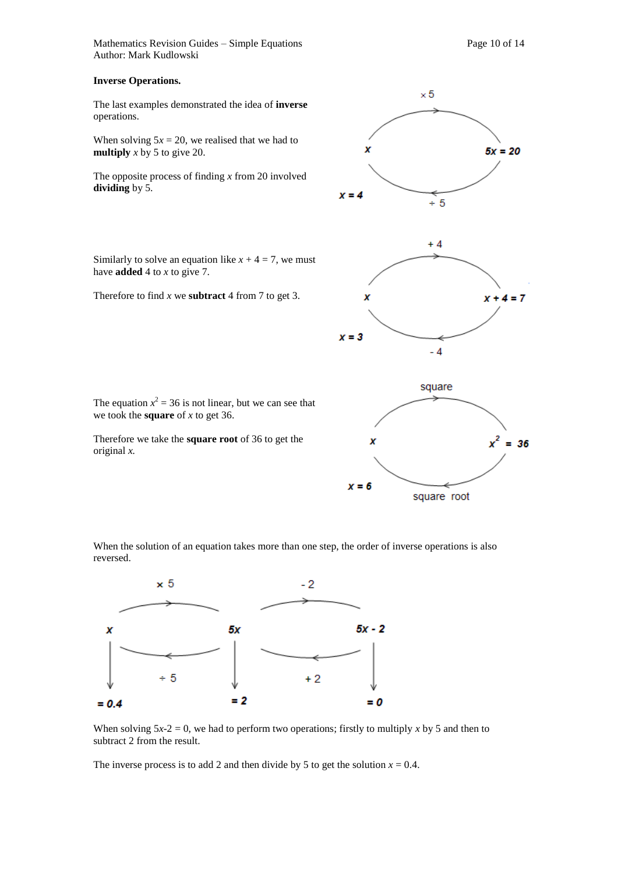Mathematics Revision Guides – Simple Equations **Page 10** of 14 Author: Mark Kudlowski

#### **Inverse Operations.**

The last examples demonstrated the idea of **inverse**  operations.

When solving  $5x = 20$ , we realised that we had to **multiply** *x* by 5 to give 20.

The opposite process of finding *x* from 20 involved **dividing** by 5.

Similarly to solve an equation like  $x + 4 = 7$ , we must have **added** 4 to *x* to give 7.

Therefore to find *x* we **subtract** 4 from 7 to get 3.



Therefore we take the **square root** of 36 to get the original *x.* 

we took the **square** of *x* to get 36.

The equation  $x^2 = 36$  is not linear, but we can see that

When the solution of an equation takes more than one step, the order of inverse operations is also reversed.



When solving  $5x-2 = 0$ , we had to perform two operations; firstly to multiply x by 5 and then to subtract 2 from the result.

The inverse process is to add 2 and then divide by 5 to get the solution  $x = 0.4$ .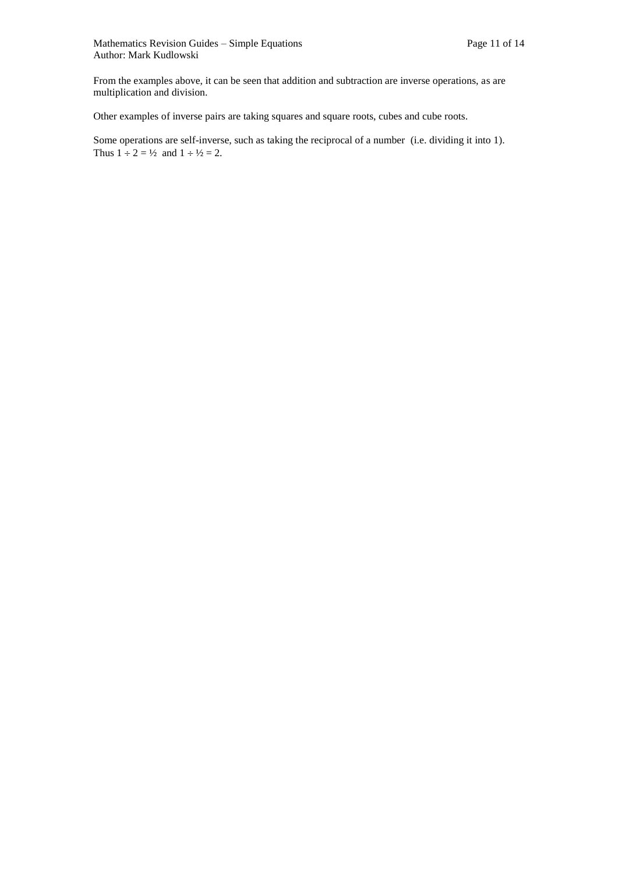From the examples above, it can be seen that addition and subtraction are inverse operations, as are multiplication and division.

Other examples of inverse pairs are taking squares and square roots, cubes and cube roots.

Some operations are self-inverse, such as taking the reciprocal of a number (i.e. dividing it into 1). Thus  $1 \div 2 = \frac{1}{2}$  and  $1 \div \frac{1}{2} = 2$ .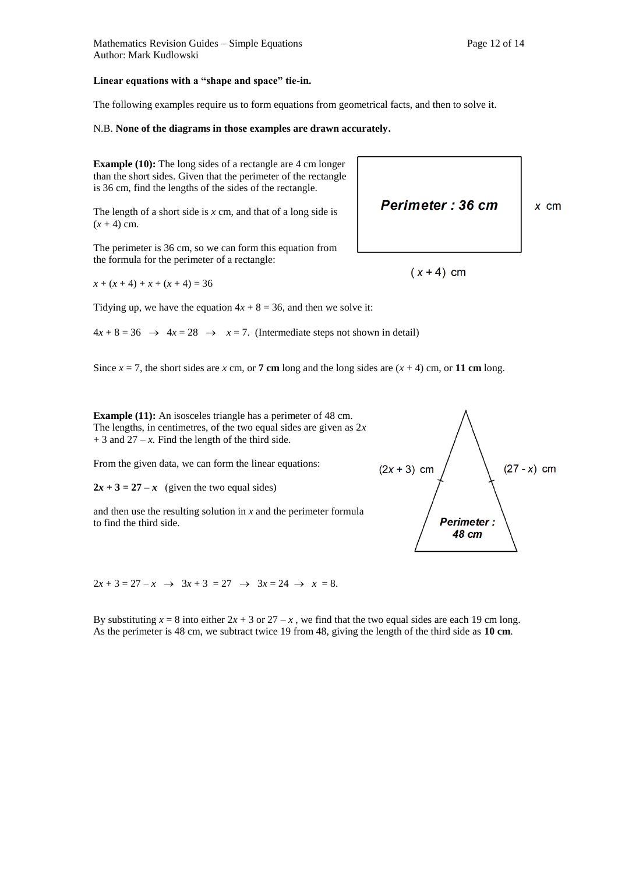#### **Linear equations with a "shape and space" tie-in.**

The following examples require us to form equations from geometrical facts, and then to solve it.

#### N.B. **None of the diagrams in those examples are drawn accurately.**

**Example (10):** The long sides of a rectangle are 4 cm longer than the short sides. Given that the perimeter of the rectangle is 36 cm, find the lengths of the sides of the rectangle.

The length of a short side is *x* cm, and that of a long side is  $(x + 4)$  cm.

The perimeter is 36 cm, so we can form this equation from the formula for the perimeter of a rectangle:

 $x + (x + 4) + x + (x + 4) = 36$ 

Tidying up, we have the equation  $4x + 8 = 36$ , and then we solve it:

 $4x + 8 = 36 \rightarrow 4x = 28 \rightarrow x = 7$ . (Intermediate steps not shown in detail)

Since  $x = 7$ , the short sides are *x* cm, or **7 cm** long and the long sides are  $(x + 4)$  cm, or **11 cm** long.

**Example (11):** An isosceles triangle has a perimeter of 48 cm. The lengths, in centimetres, of the two equal sides are given as 2*x*   $+ 3$  and  $27 - x$ . Find the length of the third side.

From the given data, we can form the linear equations:

 $2x + 3 = 27 - x$  (given the two equal sides)

and then use the resulting solution in *x* and the perimeter formula to find the third side.

 $2x + 3 = 27 - x \rightarrow 3x + 3 = 27 \rightarrow 3x = 24 \rightarrow x = 8.$ 

By substituting  $x = 8$  into either  $2x + 3$  or  $27 - x$ , we find that the two equal sides are each 19 cm long. As the perimeter is 48 cm, we subtract twice 19 from 48, giving the length of the third side as **10 cm**.



**Perimeter: 36 cm** 

 $(x+4)$  cm

 $x$  cm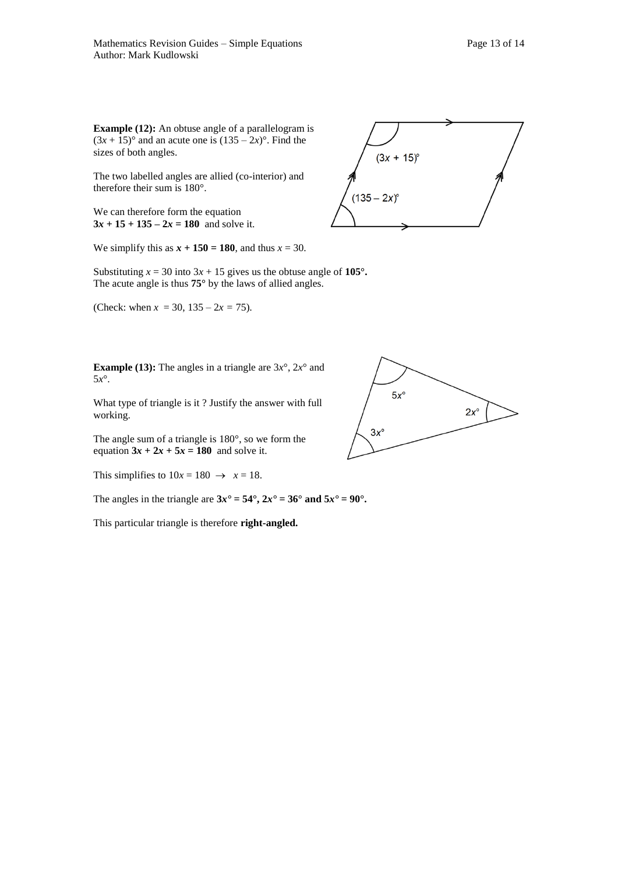**Example (12):** An obtuse angle of a parallelogram is  $(3x + 15)$ ° and an acute one is  $(135 – 2x)$ °. Find the sizes of both angles.

The two labelled angles are allied (co-interior) and therefore their sum is 180°.

We can therefore form the equation  $3x + 15 + 135 - 2x = 180$  and solve it.

We simplify this as  $x + 150 = 180$ , and thus  $x = 30$ .

Substituting  $x = 30$  into  $3x + 15$  gives us the obtuse angle of  $105^\circ$ . The acute angle is thus **75°** by the laws of allied angles.

(Check: when  $x = 30$ ,  $135 - 2x = 75$ ).

**Example (13):** The angles in a triangle are  $3x^{\circ}$ ,  $2x^{\circ}$  and 5*x*°.

What type of triangle is it ? Justify the answer with full working.

The angle sum of a triangle is 180°, so we form the equation  $3x + 2x + 5x = 180$  and solve it.

This simplifies to  $10x = 180 \rightarrow x = 18$ .

The angles in the triangle are  $3x^* = 54^\circ$ ,  $2x^* = 36^\circ$  and  $5x^* = 90^\circ$ .

This particular triangle is therefore **right-angled.**